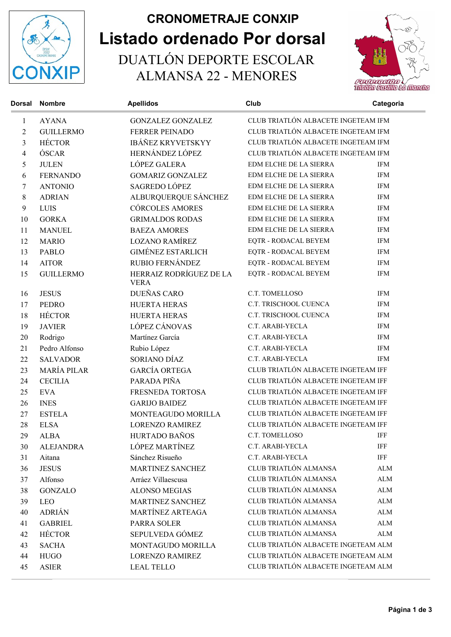

## Listado ordenado Por dorsal CRONOMETRAJE CONXIP

 DUATLÓN DEPORTE ESCOLAR ALMANSA 22 - MENORES



| <b>Dorsal</b>  | <b>Nombre</b>      | <b>Apellidos</b>                       | Club                                | Categoria                           |  |
|----------------|--------------------|----------------------------------------|-------------------------------------|-------------------------------------|--|
| $\mathbf{1}$   | <b>AYANA</b>       | <b>GONZALEZ GONZALEZ</b>               | CLUB TRIATLÓN ALBACETE INGETEAM IFM |                                     |  |
| $\overline{2}$ | <b>GUILLERMO</b>   | <b>FERRER PEINADO</b>                  | CLUB TRIATLÓN ALBACETE INGETEAM IFM |                                     |  |
| 3              | <b>HÉCTOR</b>      | <b>IBÁÑEZ KRYVETSKYY</b>               | CLUB TRIATLÓN ALBACETE INGETEAM IFM |                                     |  |
| 4              | ÓSCAR              | HERNÁNDEZ LÓPEZ                        |                                     | CLUB TRIATLÓN ALBACETE INGETEAM IFM |  |
| 5              | <b>JULEN</b>       | LÓPEZ GALERA                           | EDM ELCHE DE LA SIERRA              | <b>IFM</b>                          |  |
| 6              | <b>FERNANDO</b>    | <b>GOMARIZ GONZALEZ</b>                | EDM ELCHE DE LA SIERRA              | <b>IFM</b>                          |  |
| 7              | <b>ANTONIO</b>     | SAGREDO LÓPEZ                          | EDM ELCHE DE LA SIERRA              | <b>IFM</b>                          |  |
| 8              | <b>ADRIAN</b>      | ALBURQUERQUE SÁNCHEZ                   | EDM ELCHE DE LA SIERRA              | <b>IFM</b>                          |  |
| 9              | LUIS               | <b>CÓRCOLES AMORES</b>                 | EDM ELCHE DE LA SIERRA              | <b>IFM</b>                          |  |
| 10             | <b>GORKA</b>       | <b>GRIMALDOS RODAS</b>                 | EDM ELCHE DE LA SIERRA              | <b>IFM</b>                          |  |
| 11             | <b>MANUEL</b>      | <b>BAEZA AMORES</b>                    | EDM ELCHE DE LA SIERRA              | <b>IFM</b>                          |  |
| 12             | <b>MARIO</b>       | <b>LOZANO RAMÍREZ</b>                  | EQTR - RODACAL BEYEM                | <b>IFM</b>                          |  |
| 13             | <b>PABLO</b>       | <b>GIMÉNEZ ESTARLICH</b>               | EQTR - RODACAL BEYEM                | <b>IFM</b>                          |  |
| 14             | <b>AITOR</b>       | RUBIO FERNÁNDEZ                        | EQTR - RODACAL BEYEM                | <b>IFM</b>                          |  |
| 15             | <b>GUILLERMO</b>   | HERRAIZ RODRÍGUEZ DE LA<br><b>VERA</b> | EQTR - RODACAL BEYEM                | <b>IFM</b>                          |  |
| 16             | <b>JESUS</b>       | <b>DUEÑAS CARO</b>                     | C.T. TOMELLOSO                      | <b>IFM</b>                          |  |
| 17             | <b>PEDRO</b>       | <b>HUERTA HERAS</b>                    | C.T. TRISCHOOL CUENCA               | <b>IFM</b>                          |  |
| 18             | <b>HÉCTOR</b>      | <b>HUERTA HERAS</b>                    | C.T. TRISCHOOL CUENCA               | <b>IFM</b>                          |  |
| 19             | <b>JAVIER</b>      | LÓPEZ CÁNOVAS                          | C.T. ARABI-YECLA                    | <b>IFM</b>                          |  |
| 20             | Rodrigo            | Martínez García                        | C.T. ARABI-YECLA                    | <b>IFM</b>                          |  |
| 21             | Pedro Alfonso      | Rubio López                            | C.T. ARABI-YECLA                    | <b>IFM</b>                          |  |
| 22             | <b>SALVADOR</b>    | SORIANO DÍAZ                           | C.T. ARABI-YECLA                    | <b>IFM</b>                          |  |
| 23             | <b>MARÍA PILAR</b> | <b>GARCÍA ORTEGA</b>                   | CLUB TRIATLÓN ALBACETE INGETEAM IFF |                                     |  |
| 24             | <b>CECILIA</b>     | PARADA PIÑA                            | CLUB TRIATLÓN ALBACETE INGETEAM IFF |                                     |  |
| 25             | <b>EVA</b>         | FRESNEDA TORTOSA                       | CLUB TRIATLÓN ALBACETE INGETEAM IFF |                                     |  |
| 26             | <b>INES</b>        | <b>GARIJO BAIDEZ</b>                   | CLUB TRIATLÓN ALBACETE INGETEAM IFF |                                     |  |
| 27             | <b>ESTELA</b>      | MONTEAGUDO MORILLA                     | CLUB TRIATLÓN ALBACETE INGETEAM IFF |                                     |  |
| 28             | <b>ELSA</b>        | <b>LORENZO RAMIREZ</b>                 | CLUB TRIATLÓN ALBACETE INGETEAM IFF |                                     |  |
| 29             | <b>ALBA</b>        | HURTADO BAÑOS                          | C.T. TOMELLOSO                      | IFF                                 |  |
| 30             | <b>ALEJANDRA</b>   | LÓPEZ MARTÍNEZ                         | C.T. ARABI-YECLA                    | IFF                                 |  |
| 31             | Aitana             | Sánchez Risueño                        | C.T. ARABI-YECLA                    | IFF                                 |  |
| 36             | <b>JESUS</b>       | <b>MARTINEZ SANCHEZ</b>                | CLUB TRIATLÓN ALMANSA               | <b>ALM</b>                          |  |
| 37             | Alfonso            | Arráez Villaescusa                     | CLUB TRIATLÓN ALMANSA               | <b>ALM</b>                          |  |
| 38             | <b>GONZALO</b>     | <b>ALONSO MEGIAS</b>                   | CLUB TRIATLÓN ALMANSA               | ALM                                 |  |
| 39             | <b>LEO</b>         | MARTINEZ SANCHEZ                       | CLUB TRIATLÓN ALMANSA               | ALM                                 |  |
| 40             | <b>ADRIÁN</b>      | MARTÍNEZ ARTEAGA                       | CLUB TRIATLÓN ALMANSA               | ALM                                 |  |
| 41             | <b>GABRIEL</b>     | PARRA SOLER                            | CLUB TRIATLÓN ALMANSA               | ALM                                 |  |
| 42             | <b>HÉCTOR</b>      | SEPULVEDA GÓMEZ                        | CLUB TRIATLÓN ALMANSA               | ALM                                 |  |
| 43             | <b>SACHA</b>       | MONTAGUDO MORILLA                      | CLUB TRIATLÓN ALBACETE INGETEAM ALM |                                     |  |
| 44             | <b>HUGO</b>        | <b>LORENZO RAMIREZ</b>                 | CLUB TRIATLÓN ALBACETE INGETEAM ALM |                                     |  |
| 45             | <b>ASIER</b>       | <b>LEAL TELLO</b>                      | CLUB TRIATLÓN ALBACETE INGETEAM ALM |                                     |  |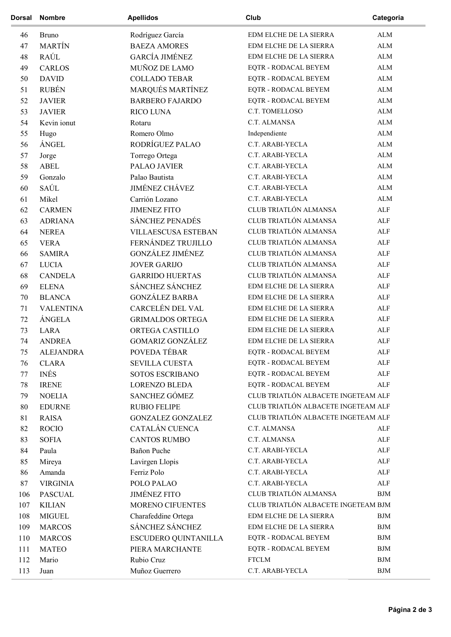| <b>Dorsal</b> | <b>Nombre</b>    | <b>Apellidos</b>           | Club                                | Categoria    |
|---------------|------------------|----------------------------|-------------------------------------|--------------|
| 46            | <b>Bruno</b>     | Rodríguez García           | EDM ELCHE DE LA SIERRA              | ${\rm ALM}$  |
| 47            | <b>MARTÍN</b>    | <b>BAEZA AMORES</b>        | EDM ELCHE DE LA SIERRA              | ALM          |
| 48            | RAÚL             | <b>GARCÍA JIMÉNEZ</b>      | EDM ELCHE DE LA SIERRA              | ${\rm ALM}$  |
| 49            | <b>CARLOS</b>    | MUÑOZ DE LAMO              | EQTR - RODACAL BEYEM                | ALM          |
| 50            | <b>DAVID</b>     | <b>COLLADO TEBAR</b>       | EQTR - RODACAL BEYEM                | ALM          |
| 51            | <b>RUBÉN</b>     | MARQUÉS MARTÍNEZ           | EQTR - RODACAL BEYEM                | ${\rm ALM}$  |
| 52            | <b>JAVIER</b>    | <b>BARBERO FAJARDO</b>     | EQTR - RODACAL BEYEM                | ${\rm ALM}$  |
| 53            | <b>JAVIER</b>    | RICO LUNA                  | C.T. TOMELLOSO                      | ${\rm ALM}$  |
| 54            | Kevin ionut      | Rotaru                     | C.T. ALMANSA                        | ${\rm ALM}$  |
| 55            | Hugo             | Romero Olmo                | Independiente                       | ${\rm ALM}$  |
| 56            | <b>ÁNGEL</b>     | RODRÍGUEZ PALAO            | C.T. ARABI-YECLA                    | ${\rm ALM}$  |
| 57            | Jorge            | Torrego Ortega             | C.T. ARABI-YECLA                    | ${\rm ALM}$  |
| 58            | <b>ABEL</b>      | PALAO JAVIER               | C.T. ARABI-YECLA                    | ${\rm ALM}$  |
| 59            | Gonzalo          | Palao Bautista             | C.T. ARABI-YECLA                    | ${\rm ALM}$  |
| 60            | SAÚL             | <b>JIMÉNEZ CHÁVEZ</b>      | C.T. ARABI-YECLA                    | ${\rm ALM}$  |
| 61            | Mikel            | Carrión Lozano             | C.T. ARABI-YECLA                    | ${\rm ALM}$  |
| 62            | <b>CARMEN</b>    | <b>JIMENEZ FITO</b>        | CLUB TRIATLÓN ALMANSA               | $\mbox{ALF}$ |
| 63            | <b>ADRIANA</b>   | <b>SÁNCHEZ PENADÉS</b>     | CLUB TRIATLÓN ALMANSA               | $\mbox{ALF}$ |
| 64            | <b>NEREA</b>     | <b>VILLAESCUSA ESTEBAN</b> | CLUB TRIATLÓN ALMANSA               | ALF          |
| 65            | <b>VERA</b>      | FERNÁNDEZ TRUJILLO         | CLUB TRIATLÓN ALMANSA               | <b>ALF</b>   |
| 66            | <b>SAMIRA</b>    | <b>GONZÁLEZ JIMÉNEZ</b>    | CLUB TRIATLÓN ALMANSA               | ALF          |
| 67            | <b>LUCIA</b>     | <b>JOVER GARIJO</b>        | CLUB TRIATLÓN ALMANSA               | ALF          |
| 68            | <b>CANDELA</b>   | <b>GARRIDO HUERTAS</b>     | CLUB TRIATLÓN ALMANSA               | $\mbox{ALF}$ |
| 69            | <b>ELENA</b>     | SÁNCHEZ SÁNCHEZ            | EDM ELCHE DE LA SIERRA              | ALF          |
| 70            | <b>BLANCA</b>    | <b>GONZÁLEZ BARBA</b>      | EDM ELCHE DE LA SIERRA              | ALF          |
| 71            | <b>VALENTINA</b> | CARCELÉN DEL VAL           | EDM ELCHE DE LA SIERRA              | ALF          |
| 72            | ÁNGELA           | <b>GRIMALDOS ORTEGA</b>    | EDM ELCHE DE LA SIERRA              | ALF          |
| 73            | <b>LARA</b>      | ORTEGA CASTILLO            | EDM ELCHE DE LA SIERRA              | ALF          |
| 74            | <b>ANDREA</b>    | <b>GOMARIZ GONZÁLEZ</b>    | EDM ELCHE DE LA SIERRA              | ALF          |
| 75            | <b>ALEJANDRA</b> | POVEDA TÉBAR               | EQTR - RODACAL BEYEM                | ALF          |
| 76            | <b>CLARA</b>     | <b>SEVILLA CUESTA</b>      | EQTR - RODACAL BEYEM                | ALF          |
| 77            | <b>INÉS</b>      | <b>SOTOS ESCRIBANO</b>     | EQTR - RODACAL BEYEM                | ALF          |
| 78            | <b>IRENE</b>     | <b>LORENZO BLEDA</b>       | EQTR - RODACAL BEYEM                | ALF          |
| 79            | <b>NOELIA</b>    | SANCHEZ GÓMEZ              | CLUB TRIATLÓN ALBACETE INGETEAM ALF |              |
| 80            | <b>EDURNE</b>    | <b>RUBIO FELIPE</b>        | CLUB TRIATLÓN ALBACETE INGETEAM ALF |              |
| 81            | <b>RAISA</b>     | <b>GONZALEZ GONZALEZ</b>   | CLUB TRIATLÓN ALBACETE INGETEAM ALF |              |
| 82            | <b>ROCIO</b>     | CATALÁN CUENCA             | C.T. ALMANSA                        | ALF          |
| 83            | <b>SOFIA</b>     | <b>CANTOS RUMBO</b>        | C.T. ALMANSA                        | ${\rm ALF}$  |
| 84            | Paula            | Bañon Puche                | C.T. ARABI-YECLA                    | ALF          |
| 85            | Mireya           | Lavirgen Llopis            | C.T. ARABI-YECLA                    | $\mbox{ALF}$ |
| 86            | Amanda           | Ferriz Polo                | C.T. ARABI-YECLA                    | ${\rm ALF}$  |
| 87            | <b>VIRGINIA</b>  | POLO PALAO                 | C.T. ARABI-YECLA                    | ALF          |
| 106           | <b>PASCUAL</b>   | <b>JIMÉNEZ FITO</b>        | CLUB TRIATLÓN ALMANSA               | <b>BJM</b>   |
| 107           | <b>KILIAN</b>    | MORENO CIFUENTES           | CLUB TRIATLÓN ALBACETE INGETEAM BJM |              |
| 108           | <b>MIGUEL</b>    | Charafeddine Ortega        | EDM ELCHE DE LA SIERRA              | <b>BJM</b>   |
| 109           | <b>MARCOS</b>    | SÁNCHEZ SÁNCHEZ            | EDM ELCHE DE LA SIERRA              | <b>BJM</b>   |
| 110           | <b>MARCOS</b>    | ESCUDERO QUINTANILLA       | EQTR - RODACAL BEYEM                | <b>BJM</b>   |
| 111           | <b>MATEO</b>     | PIERA MARCHANTE            | EQTR - RODACAL BEYEM                | <b>BJM</b>   |
| 112           | Mario            | Rubio Cruz                 | <b>FTCLM</b>                        | ${\rm BJM}$  |
|               |                  |                            |                                     |              |